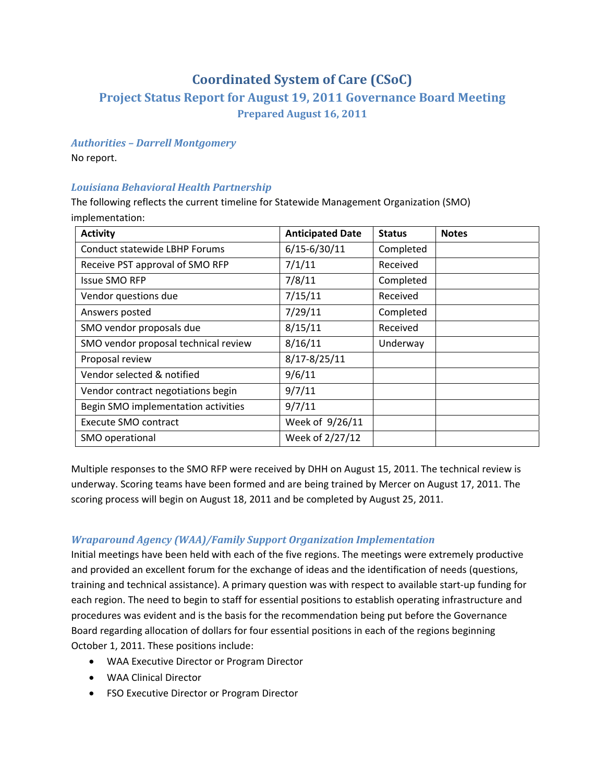# **Coordinated System of Care (CSoC)**

# **Project Status Report for August 19, 2011 Governance Board Meeting Prepared August 16, 2011**

## *Authorities – Darrell Montgomery*

No report.

# *Louisiana Behavioral Health Partnership*

The following reflects the current timeline for Statewide Management Organization (SMO) implementation:

| <b>Activity</b>                      | <b>Anticipated Date</b> | <b>Status</b> | <b>Notes</b> |
|--------------------------------------|-------------------------|---------------|--------------|
| Conduct statewide LBHP Forums        | $6/15 - 6/30/11$        | Completed     |              |
| Receive PST approval of SMO RFP      | 7/1/11                  | Received      |              |
| <b>Issue SMO RFP</b>                 | 7/8/11                  | Completed     |              |
| Vendor questions due                 | 7/15/11                 | Received      |              |
| Answers posted                       | 7/29/11                 | Completed     |              |
| SMO vendor proposals due             | 8/15/11                 | Received      |              |
| SMO vendor proposal technical review | 8/16/11                 | Underway      |              |
| Proposal review                      | $8/17 - 8/25/11$        |               |              |
| Vendor selected & notified           | 9/6/11                  |               |              |
| Vendor contract negotiations begin   | 9/7/11                  |               |              |
| Begin SMO implementation activities  | 9/7/11                  |               |              |
| <b>Execute SMO contract</b>          | Week of 9/26/11         |               |              |
| SMO operational                      | Week of 2/27/12         |               |              |

Multiple responses to the SMO RFP were received by DHH on August 15, 2011. The technical review is underway. Scoring teams have been formed and are being trained by Mercer on August 17, 2011. The scoring process will begin on August 18, 2011 and be completed by August 25, 2011.

## *Wraparound Agency (WAA)/Family Support Organization Implementation*

Initial meetings have been held with each of the five regions. The meetings were extremely productive and provided an excellent forum for the exchange of ideas and the identification of needs (questions, training and technical assistance). A primary question was with respect to available start‐up funding for each region. The need to begin to staff for essential positions to establish operating infrastructure and procedures was evident and is the basis for the recommendation being put before the Governance Board regarding allocation of dollars for four essential positions in each of the regions beginning October 1, 2011. These positions include:

- WAA Executive Director or Program Director
- WAA Clinical Director
- FSO Executive Director or Program Director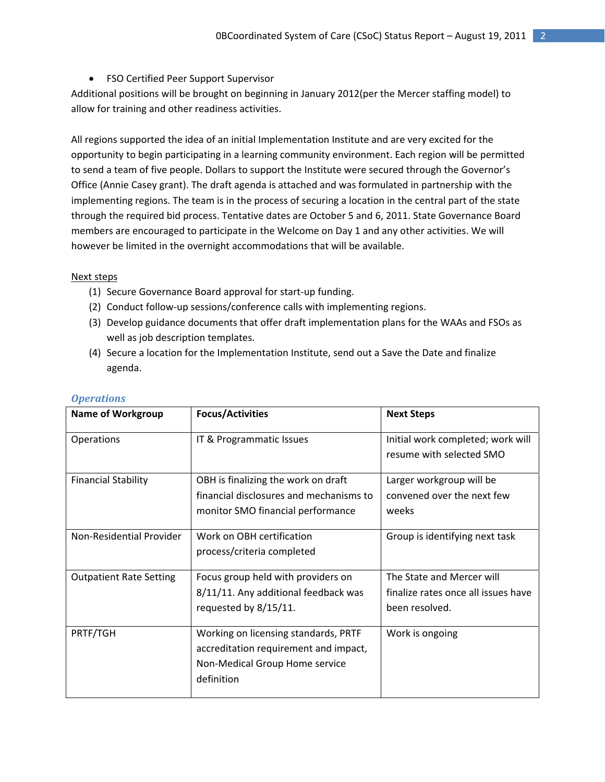## • FSO Certified Peer Support Supervisor

Additional positions will be brought on beginning in January 2012(per the Mercer staffing model) to allow for training and other readiness activities.

All regions supported the idea of an initial Implementation Institute and are very excited for the opportunity to begin participating in a learning community environment. Each region will be permitted to send a team of five people. Dollars to support the Institute were secured through the Governor's Office (Annie Casey grant). The draft agenda is attached and was formulated in partnership with the implementing regions. The team is in the process of securing a location in the central part of the state through the required bid process. Tentative dates are October 5 and 6, 2011. State Governance Board members are encouraged to participate in the Welcome on Day 1 and any other activities. We will however be limited in the overnight accommodations that will be available.

#### Next steps

- (1) Secure Governance Board approval for start‐up funding.
- (2) Conduct follow‐up sessions/conference calls with implementing regions.
- (3) Develop guidance documents that offer draft implementation plans for the WAAs and FSOs as well as job description templates.
- (4) Secure a location for the Implementation Institute, send out a Save the Date and finalize agenda.

| <b>Name of Workgroup</b>       | <b>Focus/Activities</b>                                                                                                       | <b>Next Steps</b>                                                                  |
|--------------------------------|-------------------------------------------------------------------------------------------------------------------------------|------------------------------------------------------------------------------------|
| Operations                     | IT & Programmatic Issues                                                                                                      | Initial work completed; work will<br>resume with selected SMO                      |
| <b>Financial Stability</b>     | OBH is finalizing the work on draft<br>financial disclosures and mechanisms to<br>monitor SMO financial performance           | Larger workgroup will be<br>convened over the next few<br>weeks                    |
| Non-Residential Provider       | Work on OBH certification<br>process/criteria completed                                                                       | Group is identifying next task                                                     |
| <b>Outpatient Rate Setting</b> | Focus group held with providers on<br>8/11/11. Any additional feedback was<br>requested by 8/15/11.                           | The State and Mercer will<br>finalize rates once all issues have<br>been resolved. |
| PRTF/TGH                       | Working on licensing standards, PRTF<br>accreditation requirement and impact,<br>Non-Medical Group Home service<br>definition | Work is ongoing                                                                    |

### *Operations*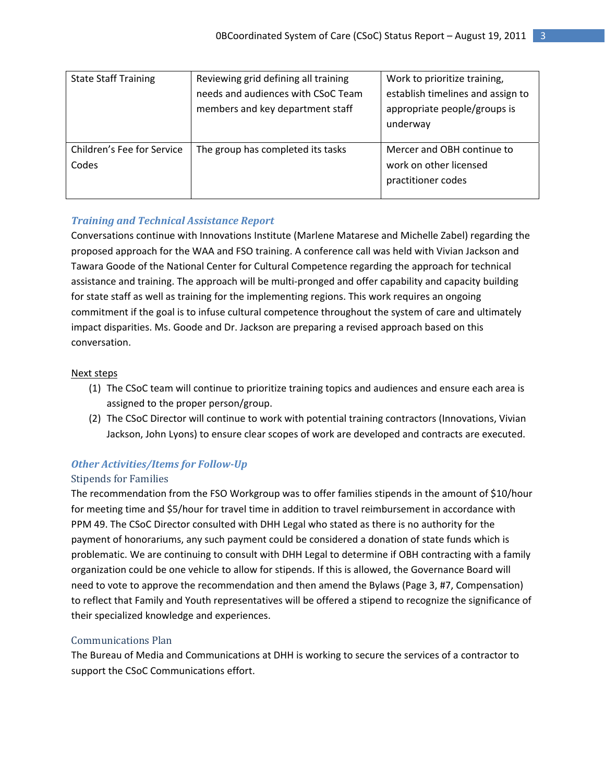| <b>State Staff Training</b> | Reviewing grid defining all training | Work to prioritize training,      |
|-----------------------------|--------------------------------------|-----------------------------------|
|                             | needs and audiences with CSoC Team   | establish timelines and assign to |
|                             | members and key department staff     | appropriate people/groups is      |
|                             |                                      | underway                          |
|                             |                                      |                                   |
| Children's Fee for Service  | The group has completed its tasks    | Mercer and OBH continue to        |
| Codes                       |                                      | work on other licensed            |
|                             |                                      | practitioner codes                |
|                             |                                      |                                   |

# *Training and Technical Assistance Report*

Conversations continue with Innovations Institute (Marlene Matarese and Michelle Zabel) regarding the proposed approach for the WAA and FSO training. A conference call was held with Vivian Jackson and Tawara Goode of the National Center for Cultural Competence regarding the approach for technical assistance and training. The approach will be multi-pronged and offer capability and capacity building for state staff as well as training for the implementing regions. This work requires an ongoing commitment if the goal is to infuse cultural competence throughout the system of care and ultimately impact disparities. Ms. Goode and Dr. Jackson are preparing a revised approach based on this conversation.

## Next steps

- (1) The CSoC team will continue to prioritize training topics and audiences and ensure each area is assigned to the proper person/group.
- (2) The CSoC Director will continue to work with potential training contractors (Innovations, Vivian Jackson, John Lyons) to ensure clear scopes of work are developed and contracts are executed.

# *Other Activities/Item s for FollowUp*

### Stipends for Families

The recommendation from the FSO Workgroup was to offer families stipends in the amount of \$10/hour for meeting time and \$5/hour for travel time in addition to travel reimbursement in accordance with PPM 49. The CSoC Director consulted with DHH Legal who stated as there is no authority for the payment of honorariums, any such payment could be considered a donation of state funds which is problematic. We are continuing to consult with DHH Legal to determine if OBH contracting with a family organization could be one vehicle to allow for stipends. If this is allowed, the Governance Board will need to vote to approve the recommendation and then amend the Bylaws (Page 3, #7, Compensation) to reflect that Family and Youth representatives will be offered a stipend to recognize the significance of their specialized knowledge and experiences.

## Communications Plan

The Bureau of Media and Communications at DHH is working to secure the services of a contractor to support the CSoC Communications effort.